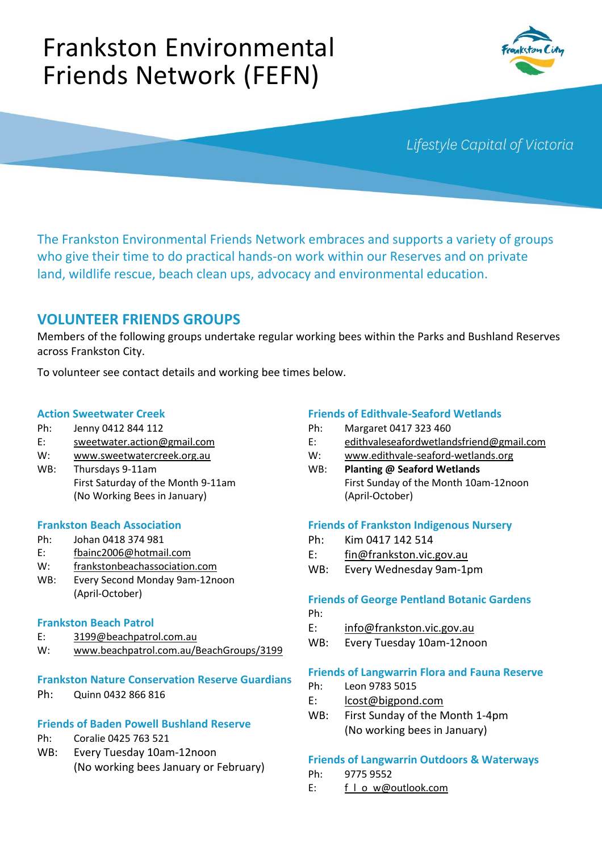# Frankston Environmental Friends Network (FEFN)



Lifestyle Capital of Victoria

The Frankston Environmental Friends Network embraces and supports a variety of groups who give their time to do practical hands-on work within our Reserves and on private land, wildlife rescue, beach clean ups, advocacy and environmental education.

# **VOLUNTEER FRIENDS GROUPS**

Members of the following groups undertake regular working bees within the Parks and Bushland Reserves across Frankston City.

To volunteer see contact details and working bee times below.

#### **Action Sweetwater Creek**

- Ph: Jenny 0412 844 112
- E: [sweetwater.action@gmail.com](mailto:sweetwater.action@gmail.com)
- W: www.sweetwatercreek.org.au
- WB: Thursdays 9-11am First Saturday of the Month 9-11am (No Working Bees in January)

#### **Frankston Beach Association**

- Ph: Johan 0418 374 981
- E: [fbainc2006@hotmail.com](mailto:fbainc2006@hotmail.com)
- W: [frankstonbeachassociation.com](https://frankstonbeachassociation.com/)
- WB: Every Second Monday 9am-12noon (April-October)

#### **Frankston Beach Patrol**

- E: [3199@beachpatrol.com.au](mailto:3199@beachpatrol.com.au)
- W: [www.beachpatrol.com.au/BeachGroups/3199](http://www.beachpatrol.com.au/BeachGroups/3199)

#### **Frankston Nature Conservation Reserve Guardians**

Ph: Quinn 0432 866 816

#### **Friends of Baden Powell Bushland Reserve**

- Ph: Coralie 0425 763 521
- WB: Every Tuesday 10am-12noon (No working bees January or February)

#### **Friends of Edithvale-Seaford Wetlands**

- Ph: Margaret 0417 323 460
- E: [edithvaleseafordwetlandsfriend@gmail.com](mailto:edithvaleseafordwetlandsfriend@gmail.com)
- W: [www.edithvale-seaford-wetlands.org](http://www.edithvale-seaford-wetlands.org/)
- WB: **Planting @ Seaford Wetlands** First Sunday of the Month 10am-12noon (April-October)

#### **Friends of Frankston Indigenous Nursery**

- Ph: Kim 0417 142 514
- E: [fin@frankston.vic.gov.au](mailto:fin@frankston.vic.gov.au)
- WB: Every Wednesday 9am-1pm

#### **Friends of George Pentland Botanic Gardens** Ph:

- 
- E: [info@frankston.vic.gov.au](mailto:info@frankston.vic.gov.au)
- WB: Every Tuesday 10am-12noon

## **Friends of Langwarrin Flora and Fauna Reserve**

- Ph: Leon 9783 5015
- E: [lcost@bigpond.com](mailto:lcost@bigpond.com)
- WB: First Sunday of the Month 1-4pm (No working bees in January)

## **Friends of Langwarrin Outdoors & Waterways**

- Ph: 9775 9552
- E: f | o w@outlook.com